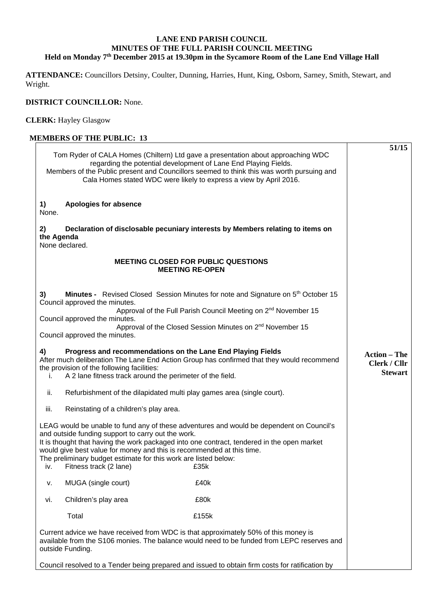## **LANE END PARISH COUNCIL MINUTES OF THE FULL PARISH COUNCIL MEETING Held on Monday 7th December 2015 at 19.30pm in the Sycamore Room of the Lane End Village Hall**

**ATTENDANCE:** Councillors Detsiny, Coulter, Dunning, Harries, Hunt, King, Osborn, Sarney, Smith, Stewart, and Wright.

## **DISTRICT COUNCILLOR:** None.

**CLERK:** Hayley Glasgow

## **MEMBERS OF THE PUBLIC: 13** Tom Ryder of CALA Homes (Chiltern) Ltd gave a presentation about approaching WDC regarding the potential development of Lane End Playing Fields. Members of the Public present and Councillors seemed to think this was worth pursuing and Cala Homes stated WDC were likely to express a view by April 2016. **1) Apologies for absence**  None. **2) Declaration of disclosable pecuniary interests by Members relating to items on the Agenda**  None declared. **MEETING CLOSED FOR PUBLIC QUESTIONS MEETING RE-OPEN 3) Minutes -** Revised Closed Session Minutes for note and Signature on 5<sup>th</sup> October 15 Council approved the minutes. Approval of the Full Parish Council Meeting on 2<sup>nd</sup> November 15 Council approved the minutes. Approval of the Closed Session Minutes on 2<sup>nd</sup> November 15 Council approved the minutes. **4) Progress and recommendations on the Lane End Playing Fields**  After much deliberation The Lane End Action Group has confirmed that they would recommend the provision of the following facilities: i. A 2 lane fitness track around the perimeter of the field. ii. Refurbishment of the dilapidated multi play games area (single court). iii. Reinstating of a children's play area. LEAG would be unable to fund any of these adventures and would be dependent on Council's and outside funding support to carry out the work. It is thought that having the work packaged into one contract, tendered in the open market would give best value for money and this is recommended at this time. The preliminary budget estimate for this work are listed below: iv. Fitness track (2 lane) £35k v. MUGA (single court) £40k vi. Children's play area **EXALLES** E80k Total £155k Current advice we have received from WDC is that approximately 50% of this money is available from the S106 monies. The balance would need to be funded from LEPC reserves and outside Funding. Council resolved to a Tender being prepared and issued to obtain firm costs for ratification by **51/15 Action – The Clerk / Cllr Stewart**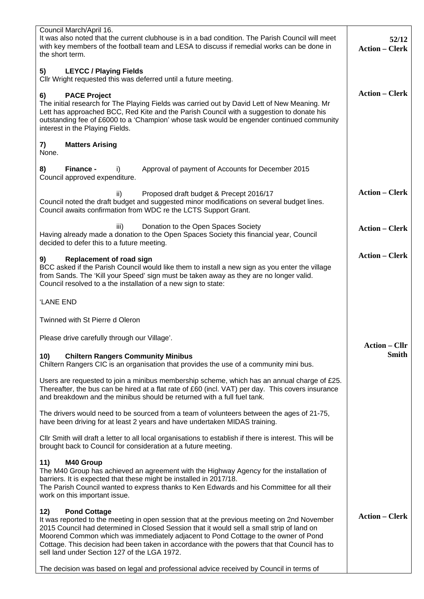| Council March/April 16.<br>It was also noted that the current clubhouse is in a bad condition. The Parish Council will meet<br>with key members of the football team and LESA to discuss if remedial works can be done in<br>the short term.                                                                                                                                                                                                                 | 52/12<br><b>Action - Clerk</b>       |
|--------------------------------------------------------------------------------------------------------------------------------------------------------------------------------------------------------------------------------------------------------------------------------------------------------------------------------------------------------------------------------------------------------------------------------------------------------------|--------------------------------------|
| <b>LEYCC / Playing Fields</b><br>5)<br>Cllr Wright requested this was deferred until a future meeting.                                                                                                                                                                                                                                                                                                                                                       |                                      |
| <b>PACE Project</b><br>6)<br>The initial research for The Playing Fields was carried out by David Lett of New Meaning. Mr<br>Lett has approached BCC, Red Kite and the Parish Council with a suggestion to donate his<br>outstanding fee of £6000 to a 'Champion' whose task would be engender continued community<br>interest in the Playing Fields.                                                                                                        | <b>Action - Clerk</b>                |
| <b>Matters Arising</b><br>7)<br>None.                                                                                                                                                                                                                                                                                                                                                                                                                        |                                      |
| Finance -<br>Approval of payment of Accounts for December 2015<br>8)<br>i)<br>Council approved expenditure.                                                                                                                                                                                                                                                                                                                                                  |                                      |
| Proposed draft budget & Precept 2016/17<br>ii)<br>Council noted the draft budget and suggested minor modifications on several budget lines.<br>Council awaits confirmation from WDC re the LCTS Support Grant.                                                                                                                                                                                                                                               | <b>Action – Clerk</b>                |
| Donation to the Open Spaces Society<br>iii)<br>Having already made a donation to the Open Spaces Society this financial year, Council<br>decided to defer this to a future meeting.                                                                                                                                                                                                                                                                          | <b>Action - Clerk</b>                |
| 9)<br><b>Replacement of road sign</b><br>BCC asked if the Parish Council would like them to install a new sign as you enter the village<br>from Sands. The 'Kill your Speed' sign must be taken away as they are no longer valid.<br>Council resolved to a the installation of a new sign to state:                                                                                                                                                          | <b>Action - Clerk</b>                |
| 'LANE END                                                                                                                                                                                                                                                                                                                                                                                                                                                    |                                      |
| Twinned with St Pierre d Oleron                                                                                                                                                                                                                                                                                                                                                                                                                              |                                      |
| Please drive carefully through our Village'.                                                                                                                                                                                                                                                                                                                                                                                                                 |                                      |
| <b>Chiltern Rangers Community Minibus</b><br>10)<br>Chiltern Rangers CIC is an organisation that provides the use of a community mini bus.                                                                                                                                                                                                                                                                                                                   | <b>Action - Cllr</b><br><b>Smith</b> |
| Users are requested to join a minibus membership scheme, which has an annual charge of £25.<br>Thereafter, the bus can be hired at a flat rate of £60 (incl. VAT) per day. This covers insurance<br>and breakdown and the minibus should be returned with a full fuel tank.                                                                                                                                                                                  |                                      |
| The drivers would need to be sourced from a team of volunteers between the ages of 21-75,<br>have been driving for at least 2 years and have undertaken MIDAS training.                                                                                                                                                                                                                                                                                      |                                      |
| CIIr Smith will draft a letter to all local organisations to establish if there is interest. This will be<br>brought back to Council for consideration at a future meeting.                                                                                                                                                                                                                                                                                  |                                      |
| M40 Group<br>11)<br>The M40 Group has achieved an agreement with the Highway Agency for the installation of<br>barriers. It is expected that these might be installed in 2017/18.<br>The Parish Council wanted to express thanks to Ken Edwards and his Committee for all their<br>work on this important issue.                                                                                                                                             |                                      |
| 12)<br><b>Pond Cottage</b><br>It was reported to the meeting in open session that at the previous meeting on 2nd November<br>2015 Council had determined in Closed Session that it would sell a small strip of land on<br>Moorend Common which was immediately adjacent to Pond Cottage to the owner of Pond<br>Cottage. This decision had been taken in accordance with the powers that that Council has to<br>sell land under Section 127 of the LGA 1972. | <b>Action - Clerk</b>                |
| The decision was based on legal and professional advice received by Council in terms of                                                                                                                                                                                                                                                                                                                                                                      |                                      |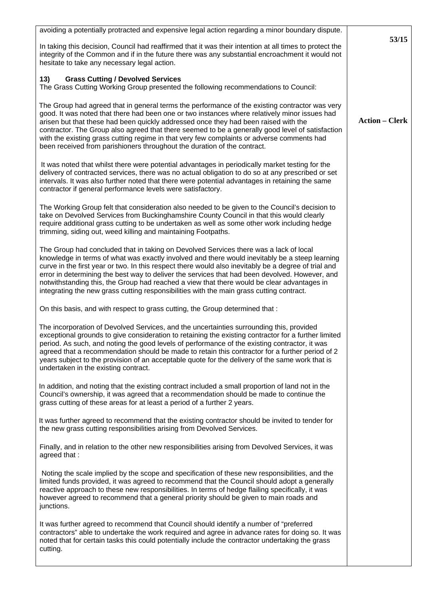| avoiding a potentially protracted and expensive legal action regarding a minor boundary dispute.                                                                                                                                                                                                                                                                                                                                                                                                                                                                                            |                       |
|---------------------------------------------------------------------------------------------------------------------------------------------------------------------------------------------------------------------------------------------------------------------------------------------------------------------------------------------------------------------------------------------------------------------------------------------------------------------------------------------------------------------------------------------------------------------------------------------|-----------------------|
| In taking this decision, Council had reaffirmed that it was their intention at all times to protect the<br>integrity of the Common and if in the future there was any substantial encroachment it would not<br>hesitate to take any necessary legal action.                                                                                                                                                                                                                                                                                                                                 | 53/15                 |
| 13)<br><b>Grass Cutting / Devolved Services</b><br>The Grass Cutting Working Group presented the following recommendations to Council:                                                                                                                                                                                                                                                                                                                                                                                                                                                      |                       |
| The Group had agreed that in general terms the performance of the existing contractor was very<br>good. It was noted that there had been one or two instances where relatively minor issues had<br>arisen but that these had been quickly addressed once they had been raised with the<br>contractor. The Group also agreed that there seemed to be a generally good level of satisfaction<br>with the existing grass cutting regime in that very few complaints or adverse comments had<br>been received from parishioners throughout the duration of the contract.                        | <b>Action - Clerk</b> |
| It was noted that whilst there were potential advantages in periodically market testing for the<br>delivery of contracted services, there was no actual obligation to do so at any prescribed or set<br>intervals. It was also further noted that there were potential advantages in retaining the same<br>contractor if general performance levels were satisfactory.                                                                                                                                                                                                                      |                       |
| The Working Group felt that consideration also needed to be given to the Council's decision to<br>take on Devolved Services from Buckinghamshire County Council in that this would clearly<br>require additional grass cutting to be undertaken as well as some other work including hedge<br>trimming, siding out, weed killing and maintaining Footpaths.                                                                                                                                                                                                                                 |                       |
| The Group had concluded that in taking on Devolved Services there was a lack of local<br>knowledge in terms of what was exactly involved and there would inevitably be a steep learning<br>curve in the first year or two. In this respect there would also inevitably be a degree of trial and<br>error in determining the best way to deliver the services that had been devolved. However, and<br>notwithstanding this, the Group had reached a view that there would be clear advantages in<br>integrating the new grass cutting responsibilities with the main grass cutting contract. |                       |
| On this basis, and with respect to grass cutting, the Group determined that:                                                                                                                                                                                                                                                                                                                                                                                                                                                                                                                |                       |
| The incorporation of Devolved Services, and the uncertainties surrounding this, provided<br>exceptional grounds to give consideration to retaining the existing contractor for a further limited<br>period. As such, and noting the good levels of performance of the existing contractor, it was<br>agreed that a recommendation should be made to retain this contractor for a further period of 2<br>years subject to the provision of an acceptable quote for the delivery of the same work that is<br>undertaken in the existing contract.                                             |                       |
| In addition, and noting that the existing contract included a small proportion of land not in the<br>Council's ownership, it was agreed that a recommendation should be made to continue the<br>grass cutting of these areas for at least a period of a further 2 years.                                                                                                                                                                                                                                                                                                                    |                       |
| It was further agreed to recommend that the existing contractor should be invited to tender for<br>the new grass cutting responsibilities arising from Devolved Services.                                                                                                                                                                                                                                                                                                                                                                                                                   |                       |
| Finally, and in relation to the other new responsibilities arising from Devolved Services, it was<br>agreed that :                                                                                                                                                                                                                                                                                                                                                                                                                                                                          |                       |
| Noting the scale implied by the scope and specification of these new responsibilities, and the<br>limited funds provided, it was agreed to recommend that the Council should adopt a generally<br>reactive approach to these new responsibilities. In terms of hedge flailing specifically, it was<br>however agreed to recommend that a general priority should be given to main roads and<br>junctions.                                                                                                                                                                                   |                       |
| It was further agreed to recommend that Council should identify a number of "preferred<br>contractors" able to undertake the work required and agree in advance rates for doing so. It was<br>noted that for certain tasks this could potentially include the contractor undertaking the grass<br>cutting.                                                                                                                                                                                                                                                                                  |                       |